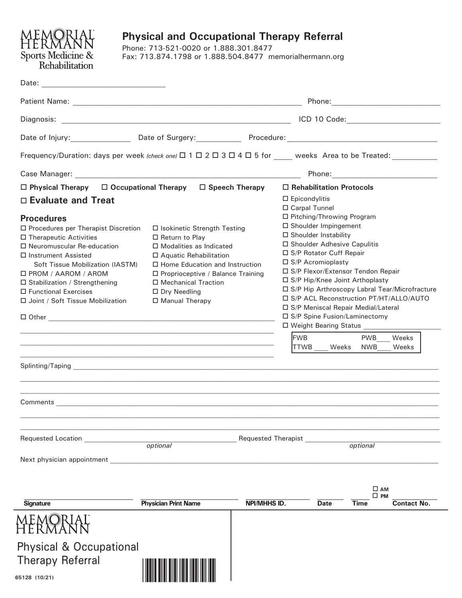

# **Physical and Occupational Therapy Referral**

Phone: 713-521-0020 or 1.888.301.8477 Fax: 713.874.1798 or 1.888.504.8477 memorialhermann.org

| Date:<br>the control of the control of the control of the control of the control of                                      |                                     |                                                                                     |                                                |                                      |                                                                                                                                                                                                                                |  |
|--------------------------------------------------------------------------------------------------------------------------|-------------------------------------|-------------------------------------------------------------------------------------|------------------------------------------------|--------------------------------------|--------------------------------------------------------------------------------------------------------------------------------------------------------------------------------------------------------------------------------|--|
|                                                                                                                          |                                     |                                                                                     |                                                |                                      |                                                                                                                                                                                                                                |  |
| Diagnosis:                                                                                                               |                                     |                                                                                     |                                                |                                      |                                                                                                                                                                                                                                |  |
|                                                                                                                          |                                     |                                                                                     |                                                |                                      |                                                                                                                                                                                                                                |  |
| Frequency/Duration: days per week (check one) $\Box$ 1 $\Box$ 2 $\Box$ 3 $\Box$ 4 $\Box$ 5 for weeks Area to be Treated: |                                     |                                                                                     |                                                |                                      |                                                                                                                                                                                                                                |  |
|                                                                                                                          |                                     |                                                                                     |                                                |                                      | Phone: the contract of the contract of the contract of the contract of the contract of the contract of the contract of the contract of the contract of the contract of the contract of the contract of the contract of the con |  |
| $\Box$ Occupational Therapy $\Box$ Speech Therapy<br>$\Box$ Physical Therapy                                             |                                     |                                                                                     | $\Box$ Rehabilitation Protocols                |                                      |                                                                                                                                                                                                                                |  |
| $\Box$ Evaluate and Treat                                                                                                |                                     |                                                                                     | $\square$ Epicondylitis                        |                                      |                                                                                                                                                                                                                                |  |
|                                                                                                                          |                                     |                                                                                     | □ Carpal Tunnel<br>□ Pitching/Throwing Program |                                      |                                                                                                                                                                                                                                |  |
| <b>Procedures</b><br>□ Procedures per Therapist Discretion<br>□ Isokinetic Strength Testing                              |                                     |                                                                                     | □ Shoulder Impingement                         |                                      |                                                                                                                                                                                                                                |  |
| $\Box$ Therapeutic Activities                                                                                            | $\Box$ Return to Play               | $\Box$ Shoulder Instability                                                         |                                                |                                      |                                                                                                                                                                                                                                |  |
| $\Box$ Neuromuscular Re-education                                                                                        | □ Modalities as Indicated           | $\Box$ Shoulder Adhesive Capulitis                                                  |                                                |                                      |                                                                                                                                                                                                                                |  |
| $\Box$ Instrument Assisted                                                                                               | □ Aquatic Rehabilitation            | □ S/P Rotator Cuff Repair                                                           |                                                |                                      |                                                                                                                                                                                                                                |  |
| Soft Tissue Mobilization (IASTM)                                                                                         | □ Home Education and Instruction    | $\Box$ S/P Acromioplasty                                                            |                                                |                                      |                                                                                                                                                                                                                                |  |
| $\Box$ PROM / AAROM / AROM                                                                                               | □ Proprioceptive / Balance Training | □ S/P Flexor/Extensor Tendon Repair                                                 |                                                |                                      |                                                                                                                                                                                                                                |  |
| □ Stabilization / Strengthening                                                                                          | □ Mechanical Traction               | □ S/P Hip/Knee Joint Arthoplasty<br>□ S/P Hip Arthroscopy Labral Tear/Microfracture |                                                |                                      |                                                                                                                                                                                                                                |  |
| □ Functional Exercises                                                                                                   | $\Box$ Dry Needling                 | □ S/P ACL Reconstruction PT/HT/ALLO/AUTO                                            |                                                |                                      |                                                                                                                                                                                                                                |  |
| □ Joint / Soft Tissue Mobilization                                                                                       | □ Manual Therapy                    |                                                                                     |                                                | □ S/P Meniscal Repair Medial/Lateral |                                                                                                                                                                                                                                |  |
|                                                                                                                          |                                     |                                                                                     | □ S/P Spine Fusion/Laminectomy                 |                                      |                                                                                                                                                                                                                                |  |
|                                                                                                                          |                                     |                                                                                     | □ Weight Bearing Status _________              |                                      |                                                                                                                                                                                                                                |  |
|                                                                                                                          |                                     |                                                                                     | <b>FWB</b>                                     | <b>PWB</b>                           | Weeks                                                                                                                                                                                                                          |  |
|                                                                                                                          |                                     |                                                                                     | <b>TTWB</b><br>Weeks                           | <b>NWB</b>                           | Weeks                                                                                                                                                                                                                          |  |
|                                                                                                                          |                                     |                                                                                     |                                                |                                      |                                                                                                                                                                                                                                |  |
|                                                                                                                          |                                     |                                                                                     |                                                |                                      |                                                                                                                                                                                                                                |  |
|                                                                                                                          |                                     |                                                                                     |                                                |                                      |                                                                                                                                                                                                                                |  |
|                                                                                                                          |                                     |                                                                                     |                                                |                                      |                                                                                                                                                                                                                                |  |
|                                                                                                                          |                                     |                                                                                     |                                                |                                      |                                                                                                                                                                                                                                |  |
|                                                                                                                          |                                     |                                                                                     |                                                |                                      |                                                                                                                                                                                                                                |  |
| <b>Requested Location</b><br><b>Requested Therapist</b><br><i>optional</i>                                               |                                     |                                                                                     |                                                | optional                             |                                                                                                                                                                                                                                |  |
|                                                                                                                          |                                     |                                                                                     |                                                |                                      |                                                                                                                                                                                                                                |  |
|                                                                                                                          |                                     |                                                                                     |                                                |                                      |                                                                                                                                                                                                                                |  |
|                                                                                                                          |                                     |                                                                                     |                                                |                                      |                                                                                                                                                                                                                                |  |
|                                                                                                                          |                                     |                                                                                     |                                                | $\square$ AM<br>□ РМ                 |                                                                                                                                                                                                                                |  |
| <b>Signature</b>                                                                                                         | <b>Physician Print Name</b>         | NPI/MHHS ID.                                                                        | Date                                           | Time                                 | <b>Contact No.</b>                                                                                                                                                                                                             |  |
|                                                                                                                          |                                     |                                                                                     |                                                |                                      |                                                                                                                                                                                                                                |  |
|                                                                                                                          |                                     |                                                                                     |                                                |                                      |                                                                                                                                                                                                                                |  |
| <b>Physical &amp; Occupational</b>                                                                                       |                                     |                                                                                     |                                                |                                      |                                                                                                                                                                                                                                |  |
| <b>Therapy Referral</b>                                                                                                  |                                     |                                                                                     |                                                |                                      |                                                                                                                                                                                                                                |  |
|                                                                                                                          |                                     |                                                                                     |                                                |                                      |                                                                                                                                                                                                                                |  |
| 65128 (10/21)                                                                                                            |                                     |                                                                                     |                                                |                                      |                                                                                                                                                                                                                                |  |